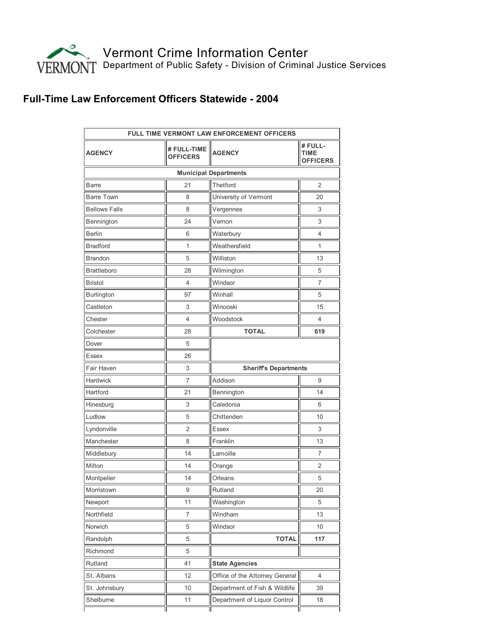

## Full-Time Law Enforcement Officers Statewide - 2004

| <b>FULL TIME VERMONT LAW ENFORCEMENT OFFICERS</b> |                                |                                |                                           |  |
|---------------------------------------------------|--------------------------------|--------------------------------|-------------------------------------------|--|
| <b>AGENCY</b>                                     | # FULL-TIME<br><b>OFFICERS</b> | <b>AGENCY</b>                  | # FULL-<br><b>TIME</b><br><b>OFFICERS</b> |  |
|                                                   |                                | <b>Municipal Departments</b>   |                                           |  |
| <b>Barre</b>                                      | 21                             | Thetford                       | 2                                         |  |
| <b>Barre Town</b>                                 | 8                              | University of Vermont          | 20                                        |  |
| <b>Bellows Falls</b>                              | 8                              | Vergennes                      | 3                                         |  |
| Bennington                                        | 24                             | Vernon                         | 3                                         |  |
| <b>Berlin</b>                                     | 6                              | Waterbury                      | 4                                         |  |
| <b>Bradford</b>                                   | 1                              | Weathersfield                  | 1                                         |  |
| <b>Brandon</b>                                    | 5                              | Williston                      | 13                                        |  |
| <b>Brattleboro</b>                                | 28                             | Wilmington                     | 5                                         |  |
| Bristol                                           | 4                              | Windsor                        | 7                                         |  |
| Burlington                                        | 97                             | Winhall                        | 5                                         |  |
| Castleton                                         | 3                              | Winooski                       | 15                                        |  |
| Chester                                           | 4                              | Woodstock                      | 4                                         |  |
| Colchester                                        | 28                             | <b>TOTAL</b>                   | 619                                       |  |
| Dover                                             | 5                              |                                |                                           |  |
| Essex                                             | 26                             |                                |                                           |  |
| Fair Haven                                        | 3                              | <b>Sheriff's Departments</b>   |                                           |  |
| Hardwick                                          | $\overline{7}$                 | Addison                        | 9                                         |  |
| Hartford                                          | 21                             | Bennington                     | 14                                        |  |
| Hinesburg                                         | 3                              | Caledonia                      | 6                                         |  |
| Ludlow                                            | 5                              | Chittenden                     | 10                                        |  |
| Lyndonville                                       | 2                              | <b>Essex</b>                   | 3                                         |  |
| Manchester                                        | 8                              | Franklin                       | 13                                        |  |
| Middlebury                                        | 14                             | Lamoille                       | 7                                         |  |
| Milton                                            | 14                             | Orange                         | 2                                         |  |
| Montpelier                                        | 14                             | Orleans                        | 5                                         |  |
| Morristown                                        | 9                              | Rutland                        | 20                                        |  |
| Newport                                           | 11                             | Washington                     | 5                                         |  |
| Northfield                                        | 7                              | Windham                        | 13                                        |  |
| Norwich                                           | 5                              | Windsor                        | $10\,$                                    |  |
| Randolph                                          | 5                              | <b>TOTAL</b>                   | 117                                       |  |
| Richmond                                          | 5                              |                                |                                           |  |
| Rutland                                           | 41                             | <b>State Agencies</b>          |                                           |  |
| St. Albans                                        | 12                             | Office of the Attorney General | 4                                         |  |
| St. Johnsbury                                     | $10$                           | Department of Fish & Wildlife  | 39                                        |  |
| Shelburne                                         | 11                             | Department of Liquor Control   | 18                                        |  |
|                                                   |                                |                                |                                           |  |